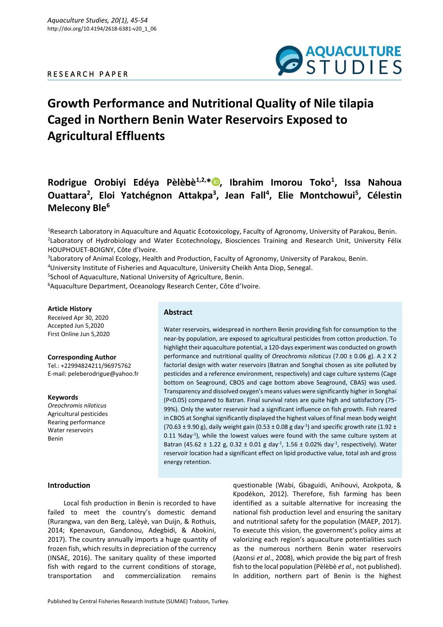# R E S E A R C H P A P E R



# **Growth Performance and Nutritional Quality of Nile tilapia Caged in Northern Benin Water Reservoirs Exposed to Agricultural Effluents**

**Rodrigue Orobiyi Edéya Pèlèbè1,2,[\\*](https://orcid.org/0000-0002-6871-9965) , Ibrahim Imorou Toko<sup>1</sup> , Issa Nahoua Ouattara<sup>2</sup> , Eloi Yatchégnon Attakpa<sup>3</sup> , Jean Fall<sup>4</sup> , Elie Montchowui<sup>5</sup> , Célestin Melecony Ble<sup>6</sup>**

<sup>1</sup>Research Laboratory in Aquaculture and Aquatic Ecotoxicology, Faculty of Agronomy, University of Parakou, Benin. 2 Laboratory of Hydrobiology and Water Ecotechnology, Biosciences Training and Research Unit, University Félix HOUPHOUET-BOIGNY, Côte d'Ivoire.

3 Laboratory of Animal Ecology, Health and Production, Faculty of Agronomy, University of Parakou, Benin.

<sup>4</sup>University Institute of Fisheries and Aquaculture, University Cheikh Anta Diop, Senegal.

5 School of Aquaculture, National University of Agriculture, Benin.

<sup>6</sup> Aquaculture Department, Oceanology Research Center, Côte d'Ivoire.

## **Article History**

Received Apr 30, 2020 Accepted Jun 5,2020 First Online Jun 5,2020

**Corresponding Author** Tel.: +22994824211/96975762 E-mail: peleberodrigue@yahoo.fr

**Keywords** *Oreochromis niloticus* Agricultural pesticides Rearing performance Water reservoirs Benin

#### **Abstract**

Water reservoirs, widespread in northern Benin providing fish for consumption to the near-by population, are exposed to agricultural pesticides from cotton production. To highlight their aquaculture potential, a 120-days experiment was conducted on growth performance and nutritional quality of *Oreochromis niloticus* (7.00 ± 0.06 g). A 2 X 2 factorial design with water reservoirs (Batran and Songhaï chosen as site polluted by pesticides and a reference environment, respectively) and cage culture systems (Cage bottom on Seaground, CBOS and cage bottom above Seaground, CBAS) was used. Transparency and dissolved oxygen's means values were significantly higher in Songhaï (P<0.05) compared to Batran. Final survival rates are quite high and satisfactory (75- 99%). Only the water reservoir had a significant influence on fish growth. Fish reared in CBOS at Songhaï significantly displayed the highest values of final mean body weight (70.63 ± 9.90 g), daily weight gain (0.53 ± 0.08 g day<sup>-1</sup>) and specific growth rate (1.92 ± 0.11 %day<sup>-1</sup>), while the lowest values were found with the same culture system at Batran (45.62 ± 1.22 g, 0.32 ± 0.01 g day<sup>-1</sup>, 1.56 ± 0.02% day<sup>-1</sup>, respectively). Water reservoir location had a significant effect on lipid productive value, total ash and gross energy retention.

## **Introduction**

Local fish production in Benin is recorded to have failed to meet the country's domestic demand (Rurangwa, van den Berg, Lalèyè, van Duijn, & Rothuis, 2014; Kpenavoun, Gandonou, Adegbidi, & Abokini, 2017). The country annually imports a huge quantity of frozen fish, which results in depreciation of the currency (INSAE, 2016). The sanitary quality of these imported fish with regard to the current conditions of storage, transportation and commercialization remains

questionable (Wabi, Gbaguidi, Anihouvi, Azokpota, & Kpodékon, 2012). Therefore, fish farming has been identified as a suitable alternative for increasing the national fish production level and ensuring the sanitary and nutritional safety for the population (MAEP, 2017). To execute this vision, the government's policy aims at valorizing each region's aquaculture potentialities such as the numerous northern Benin water reservoirs (Azonsi *et al*., 2008), which provide the big part of fresh fish to the local population (Pèlèbè *et al.,* not published). In addition, northern part of Benin is the highest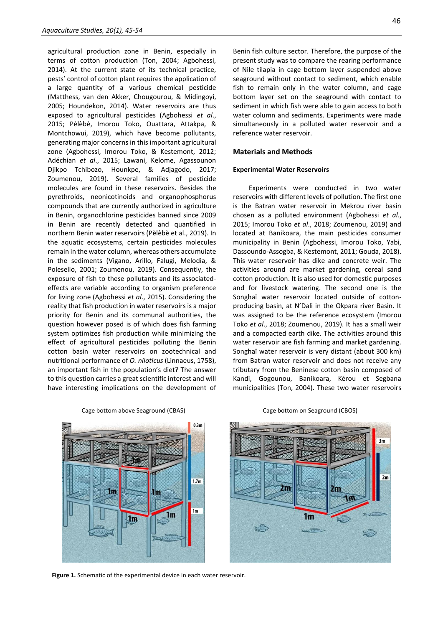agricultural production zone in Benin, especially in terms of cotton production (Ton, 2004; Agbohessi, 2014). At the current state of its technical practice, pests' control of cotton plant requires the application of a large quantity of a various chemical pesticide (Matthess, van den Akker, Chougourou, & Midingoyi, 2005; Houndekon, 2014). Water reservoirs are thus exposed to agricultural pesticides (Agbohessi *et al*., 2015; Pèlèbè, Imorou Toko, Ouattara, Attakpa, & Montchowui, 2019), which have become pollutants, generating major concerns in this important agricultural zone (Agbohessi, Imorou Toko, & Kestemont, 2012; Adéchian *et al*., 2015; Lawani, Kelome, Agassounon Djikpo Tchibozo, Hounkpe, & Adjagodo, 2017; Zoumenou, 2019). Several families of pesticide molecules are found in these reservoirs. Besides the pyrethroids, neonicotinoids and organophosphorus compounds that are currently authorized in agriculture in Benin, organochlorine pesticides banned since 2009 in Benin are recently detected and quantified in northern Benin water reservoirs (Pèlèbè et al., 2019). In the aquatic ecosystems, certain pesticides molecules remain in the water column, whereas others accumulate in the sediments (Vigano, Arillo, Falugi, Melodia, & Polesello, 2001; Zoumenou, 2019). Consequently, the exposure of fish to these pollutants and its associatedeffects are variable according to organism preference for living zone (Agbohessi *et al*., 2015). Considering the reality that fish production in water reservoirs is a major priority for Benin and its communal authorities, the question however posed is of which does fish farming system optimizes fish production while minimizing the effect of agricultural pesticides polluting the Benin cotton basin water reservoirs on zootechnical and nutritional performance of *O. niloticus* (Linnaeus, 1758), an important fish in the population's diet? The answer to this question carries a great scientific interest and will have interesting implications on the development of

Benin fish culture sector. Therefore, the purpose of the present study was to compare the rearing performance of Nile tilapia in cage bottom layer suspended above seaground without contact to sediment, which enable fish to remain only in the water column, and cage bottom layer set on the seaground with contact to sediment in which fish were able to gain access to both water column and sediments. Experiments were made simultaneously in a polluted water reservoir and a reference water reservoir.

#### **Materials and Methods**

#### **Experimental Water Reservoirs**

Experiments were conducted in two water reservoirs with different levels of pollution. The first one is the Batran water reservoir in Mekrou river basin chosen as a polluted environment (Agbohessi *et al*., 2015; Imorou Toko *et al*., 2018; Zoumenou, 2019) and located at Banikoara, the main pesticides consumer municipality in Benin (Agbohessi, Imorou Toko, Yabi, Dassoundo-Assogba, & Kestemont, 2011; Gouda, 2018). This water reservoir has dike and concrete weir. The activities around are market gardening, cereal sand cotton production. It is also used for domestic purposes and for livestock watering. The second one is the Songhaï water reservoir located outside of cottonproducing basin, at N'Dali in the Okpara river Basin. It was assigned to be the reference ecosystem (Imorou Toko *et al*., 2018; Zoumenou, 2019). It has a small weir and a compacted earth dike. The activities around this water reservoir are fish farming and market gardening. Songhaï water reservoir is very distant (about 300 km) from Batran water reservoir and does not receive any tributary from the Beninese cotton basin composed of Kandi, Gogounou, Banikoara, Kérou et Segbana municipalities (Ton, 2004). These two water reservoirs



Cage bottom above Seaground (CBAS) Cage bottom on Seaground (CBOS)



**Figure 1.** Schematic of the experimental device in each water reservoir.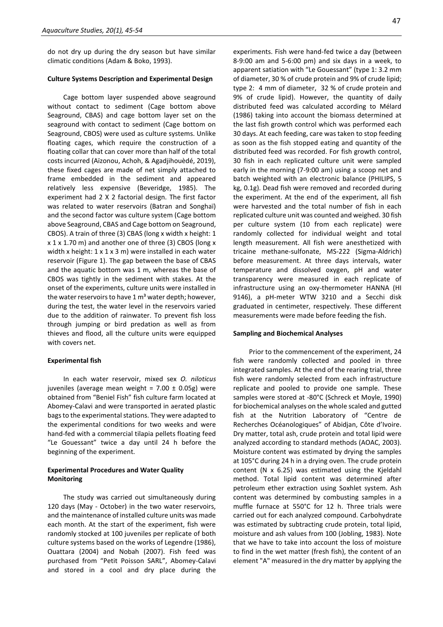do not dry up during the dry season but have similar climatic conditions (Adam & Boko, 1993).

#### **Culture Systems Description and Experimental Design**

Cage bottom layer suspended above seaground without contact to sediment (Cage bottom above Seaground, CBAS) and cage bottom layer set on the seaground with contact to sediment (Cage bottom on Seaground, CBOS) were used as culture systems. Unlike floating cages, which require the construction of a floating collar that can cover more than half of the total costs incurred (Aïzonou, Achoh, & Agadjihouèdé, 2019), these fixed cages are made of net simply attached to frame embedded in the sediment and appeared relatively less expensive (Beveridge, 1985). The experiment had 2 X 2 factorial design. The first factor was related to water reservoirs (Batran and Songhaï) and the second factor was culture system (Cage bottom above Seaground, CBAS and Cage bottom on Seaground, CBOS). A train of three (3) CBAS (long x width x height: 1 x 1 x 1.70 m) and another one of three (3) CBOS (long x width x height:  $1 \times 1 \times 3$  m) were installed in each water reservoir (Figure 1). The gap between the base of CBAS and the aquatic bottom was 1 m, whereas the base of CBOS was tightly in the sediment with stakes. At the onset of the experiments, culture units were installed in the water reservoirs to have  $1 \text{ m}^3$  water depth; however, during the test, the water level in the reservoirs varied due to the addition of rainwater. To prevent fish loss through jumping or bird predation as well as from thieves and flood, all the culture units were equipped with covers net.

#### **Experimental fish**

In each water reservoir, mixed sex *O. niloticus* juveniles (average mean weight =  $7.00 \pm 0.05$ g) were obtained from "Beniel Fish" fish culture farm located at Abomey-Calavi and were transported in aerated plastic bags to the experimental stations. They were adapted to the experimental conditions for two weeks and were hand-fed with a commercial tilapia pellets floating feed "Le Gouessant" twice a day until 24 h before the beginning of the experiment.

## **Experimental Procedures and Water Quality Monitoring**

The study was carried out simultaneously during 120 days (May - October) in the two water reservoirs, and the maintenance of installed culture units was made each month. At the start of the experiment, fish were randomly stocked at 100 juveniles per replicate of both culture systems based on the works of Legendre (1986), Ouattara (2004) and Nobah (2007). Fish feed was purchased from "Petit Poisson SARL", Abomey-Calavi and stored in a cool and dry place during the

experiments. Fish were hand-fed twice a day (between 8-9:00 am and 5-6:00 pm) and six days in a week, to apparent satiation with "Le Gouessant" (type 1: 3.2 mm of diameter, 30 % of crude protein and 9% of crude lipid; type 2: 4 mm of diameter, 32 % of crude protein and 9% of crude lipid). However, the quantity of daily distributed feed was calculated according to Mélard (1986) taking into account the biomass determined at the last fish growth control which was performed each 30 days. At each feeding, care was taken to stop feeding as soon as the fish stopped eating and quantity of the distributed feed was recorded. For fish growth control, 30 fish in each replicated culture unit were sampled early in the morning (7-9:00 am) using a scoop net and batch weighted with an electronic balance (PHILIPS, 5 kg, 0.1g). Dead fish were removed and recorded during the experiment. At the end of the experiment, all fish were harvested and the total number of fish in each replicated culture unit was counted and weighed. 30 fish per culture system (10 from each replicate) were randomly collected for individual weight and total length measurement. All fish were anesthetized with tricaine methane-sulfonate, MS*-*222 (Sigma-Aldrich) before measurement. At three days intervals, water temperature and dissolved oxygen, pH and water transparency were measured in each replicate of infrastructure using an oxy-thermometer HANNA (HI 9146), a pH-meter WTW 3210 and a Secchi disk graduated in centimeter, respectively. These different measurements were made before feeding the fish.

#### **Sampling and Biochemical Analyses**

Prior to the commencement of the experiment, 24 fish were randomly collected and pooled in three integrated samples. At the end of the rearing trial, three fish were randomly selected from each infrastructure replicate and pooled to provide one sample. These samples were stored at -80°C (Schreck et Moyle, 1990) for biochemical analyses on the whole scaled and gutted fish at the Nutrition Laboratory of "Centre de Recherches Océanologiques" of Abidjan, Côte d'Ivoire. Dry matter, total ash, crude protein and total lipid were analyzed according to standard methods (AOAC, 2003). Moisture content was estimated by drying the samples at 105°C during 24 h in a drying oven. The crude protein content (N x 6.25) was estimated using the Kjeldahl method. Total lipid content was determined after petroleum ether extraction using Soxhlet system. Ash content was determined by combusting samples in a muffle furnace at 550°C for 12 h. Three trials were carried out for each analyzed compound. Carbohydrate was estimated by subtracting crude protein, total lipid, moisture and ash values from 100 (Jobling, 1983). Note that we have to take into account the loss of moisture to find in the wet matter (fresh fish), the content of an element "A" measured in the dry matter by applying the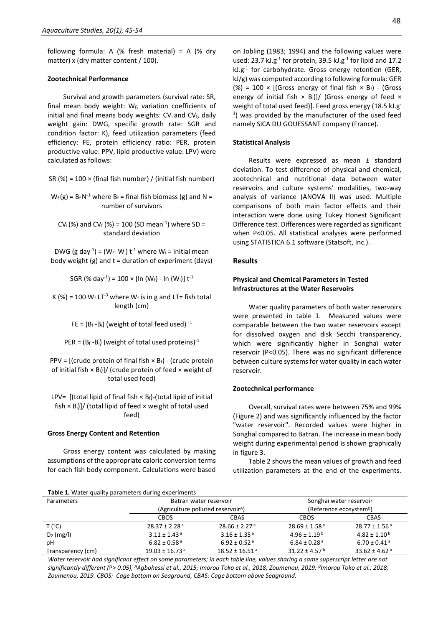following formula: A (% fresh material) = A (% dry matter) x (dry matter content / 100).

#### **Zootechnical Performance**

Survival and growth parameters (survival rate: SR, final mean body weight:  $W_f$ , variation coefficients of initial and final means body weights:  $CV_i$  and  $CV_f$ , daily weight gain: DWG, specific growth rate: SGR and condition factor: K), feed utilization parameters (feed efficiency: FE, protein efficiency ratio: PER, protein productive value: PPV, lipid productive value: LPV) were calculated as follows:

SR  $(\%) = 100 \times (final fish number) / (initial fish number)$ 

 $W_f(g) = B_f N^{-1}$  where  $B_f =$  final fish biomass (g) and N = number of survivors

CV<sub>i</sub>(%) and CV<sub>f</sub> (%) = 100 (SD mean<sup>-1</sup>) where SD = standard deviation

DWG (g day<sup>-1</sup>) = (W<sub>f</sub>- W<sub>i</sub>) t<sup>-1</sup> where W<sub>i</sub> = initial mean body weight  $(g)$  and  $t =$  duration of experiment (days)

SGR (% day<sup>-1</sup>) = 100 × [ln (W<sub>f</sub>) - ln (W<sub>i</sub>)] t<sup>-1</sup>

K (%) = 100  $W_f$  LT<sup>-3</sup> where  $W_f$  is in g and LT= fish total length (cm)

FE =  $(B_f - B_i)$  (weight of total feed used)  $^{-1}$ 

PER =  $(B_f - B_i)$  (weight of total used proteins)<sup>-1</sup>

PPV =  $[$ (crude protein of final fish  $\times$  B<sub>f</sub>) - (crude protein of initial fish  $\times$  B<sub>i</sub>)]/ (crude protein of feed  $\times$  weight of total used feed)

LPV=  $\left[$  (total lipid of final fish  $\times$  Bf)-(total lipid of initial fish  $\times$  B<sub>i</sub>]]/ (total lipid of feed  $\times$  weight of total used feed)

#### **Gross Energy Content and Retention**

Gross energy content was calculated by making assumptions of the appropriate caloric conversion terms for each fish body component. Calculations were based

on Jobling (1983; 1994) and the following values were used: 23.7 kJ.g<sup>-1</sup> for protein, 39.5 kJ.g<sup>-1</sup> for lipid and 17.2  $kJ.g^{-1}$  for carbohydrate. Gross energy retention (GER, kJ/g) was computed according to following formula: GER (%) = 100  $\times$  [(Gross energy of final fish  $\times$  B<sub>f</sub>) - (Gross energy of initial fish  $\times$  B<sub>i</sub>)]/ (Gross energy of feed  $\times$ weight of total used feed)]. Feed gross energy (18.5 kJ.g<sup>-</sup> 1 ) was provided by the manufacturer of the used feed namely SICA DU GOUESSANT company (France).

#### **Statistical Analysis**

Results were expressed as mean ± standard deviation. To test difference of physical and chemical, zootechnical and nutritional data between water reservoirs and culture systems' modalities, two-way analysis of variance (ANOVA II) was used. Multiple comparisons of both main factor effects and their interaction were done using Tukey Honest Significant Difference test. Differences were regarded as significant when P<0.05. All statistical analyses were performed using STATISTICA 6.1 software (Statsoft, Inc.).

## **Results**

## **Physical and Chemical Parameters in Tested Infrastructures at the Water Reservoirs**

Water quality parameters of both water reservoirs were presented in table 1. Measured values were comparable between the two water reservoirs except for dissolved oxygen and disk Secchi transparency, which were significantly higher in Songhaï water reservoir (P<0.05). There was no significant difference between culture systems for water quality in each water reservoir.

#### **Zootechnical performance**

Overall, survival rates were between 75% and 99% (Figure 2) and was significantly influenced by the factor "water reservoir". Recorded values were higher in Songhaï compared to Batran. The increase in mean body weight during experimental period is shown graphically in figure 3.

Table 2 shows the mean values of growth and feed utilization parameters at the end of the experiments.

| Parameters        | Batran water reservoir                         |                                | Songhaï water reservoir             |                               |
|-------------------|------------------------------------------------|--------------------------------|-------------------------------------|-------------------------------|
|                   | (Agriculture polluted reservoir <sup>A</sup> ) |                                | (Reference ecosystem <sup>B</sup> ) |                               |
|                   | <b>CBOS</b>                                    | CBAS                           | <b>CBOS</b>                         | CBAS                          |
| T('C)             | $28.37 \pm 2.28$ <sup>a</sup>                  | $28.66 \pm 2.27$ <sup>a</sup>  | $28.69 \pm 1.58$ <sup>a</sup>       | $28.77 \pm 1.56^{\text{a}}$   |
| $O2$ (mg/l)       | $3.11 \pm 1.43$ <sup>a</sup>                   | $3.16 \pm 1.35$ <sup>a</sup>   | $4.96 + 1.19^b$                     | $4.82 \pm 1.10^{\text{ b}}$   |
| pH                | $6.82 \pm 0.58$ <sup>a</sup>                   | $6.92 \pm 0.52$ <sup>a</sup>   | 6.84 ± 0.28 <sup>a</sup>            | $6.70 \pm 0.41$ <sup>a</sup>  |
| Transparency (cm) | $19.03 \pm 16.73$ <sup>a</sup>                 | $18.52 \pm 16.51$ <sup>a</sup> | $31.22 \pm 4.57$ <sup>b</sup>       | $33.62 \pm 4.62$ <sup>b</sup> |

*Water reservoir had significant effect on some parameters; in each table line, values sharing a same superscript letter are not significantly different (*P*> 0.05), <sup>A</sup>Agbohessi et al., 2015; Imorou Toko et al., 2018; Zoumenou, 2019; <sup>B</sup> Imorou Toko et al., 2018; Zoumenou, 2019. CBOS: Cage bottom on Seaground, CBAS: Cage bottom above Seaground.*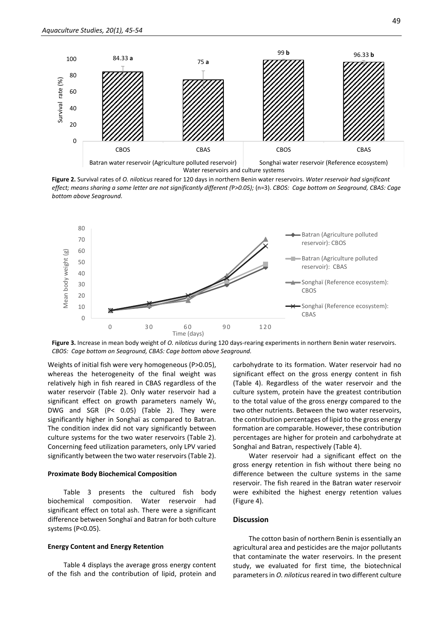

Water reservoirs and culture systems

**Figure 2.** Survival rates of *O. niloticus* reared for 120 days in northern Benin water reservoirs. *Water reservoir had significant effect; means sharing a same letter are not significantly different (*P*>0.05);* (n=3). *CBOS: Cage bottom on Seaground, CBAS: Cage bottom above Seaground.*



**Figure 3.** Increase in mean body weight of *O. niloticus* during 120 days-rearing experiments in northern Benin water reservoirs. *CBOS: Cage bottom on Seaground, CBAS: Cage bottom above Seaground.*

Weights of initial fish were very homogeneous (P>0.05), whereas the heterogeneity of the final weight was relatively high in fish reared in CBAS regardless of the water reservoir (Table 2). Only water reservoir had a significant effect on growth parameters namely  $W_f$ , DWG and SGR (P< 0.05) (Table 2). They were significantly higher in Songhaï as compared to Batran. The condition index did not vary significantly between culture systems for the two water reservoirs (Table 2). Concerning feed utilization parameters, only LPV varied significantly between the two water reservoirs (Table 2).

#### **Proximate Body Biochemical Composition**

Table 3 presents the cultured fish body biochemical composition. Water reservoir had significant effect on total ash. There were a significant difference between Songhaï and Batran for both culture systems (P<0.05).

#### **Energy Content and Energy Retention**

Table 4 displays the average gross energy content of the fish and the contribution of lipid, protein and

carbohydrate to its formation. Water reservoir had no significant effect on the gross energy content in fish (Table 4). Regardless of the water reservoir and the culture system, protein have the greatest contribution to the total value of the gross energy compared to the two other nutrients. Between the two water reservoirs, the contribution percentages of lipid to the gross energy formation are comparable. However, these contribution percentages are higher for protein and carbohydrate at Songhaï and Batran, respectively (Table 4).

Water reservoir had a significant effect on the gross energy retention in fish without there being no difference between the culture systems in the same reservoir. The fish reared in the Batran water reservoir were exhibited the highest energy retention values (Figure 4).

#### **Discussion**

The cotton basin of northern Benin is essentially an agricultural area and pesticides are the major pollutants that contaminate the water reservoirs. In the present study, we evaluated for first time, the biotechnical parameters in *O. niloticus* reared in two different culture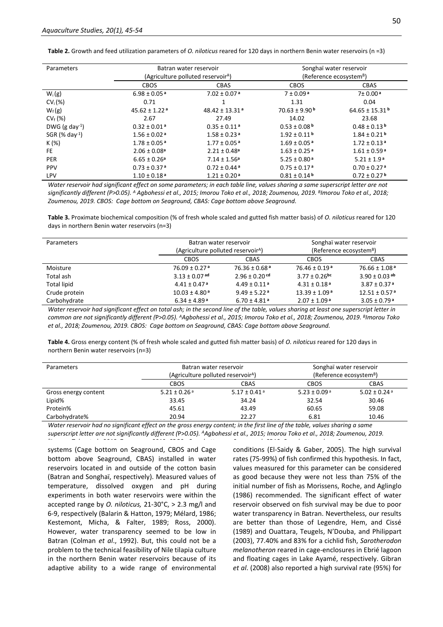| Parameters                   | Batran water reservoir                         |                                | Songhaï water reservoir             |                                |
|------------------------------|------------------------------------------------|--------------------------------|-------------------------------------|--------------------------------|
|                              | (Agriculture polluted reservoir <sup>A</sup> ) |                                | (Reference ecosystem <sup>B</sup> ) |                                |
|                              | <b>CBOS</b>                                    | <b>CBAS</b>                    | <b>CBOS</b>                         | <b>CBAS</b>                    |
| $W_i(g)$                     | $6.98 \pm 0.05$ <sup>a</sup>                   | $7.02 \pm 0.07$ <sup>a</sup>   | $7 \pm 0.09a$                       | 7± 0.00 <sup>a</sup>           |
| $CV_i(\%)$                   | 0.71                                           |                                | 1.31                                | 0.04                           |
| $W_f(g)$                     | $45.62 \pm 1.22$ <sup>a</sup>                  | $48.42 \pm 13.31$ <sup>a</sup> | $70.63 \pm 9.90$ <sup>b</sup>       | $64.65 \pm 15.31$ <sup>b</sup> |
| $CV_f$ (%)                   | 2.67                                           | 27.49                          | 14.02                               | 23.68                          |
| DWG $(g \text{ day}^{-1})$   | $0.32 \pm 0.01$ <sup>a</sup>                   | $0.35 \pm 0.11$ <sup>a</sup>   | $0.53 \pm 0.08$ <sup>b</sup>        | $0.48 \pm 0.13$ <sup>b</sup>   |
| $SGR$ (% day <sup>-1</sup> ) | $1.56 \pm 0.02$ <sup>a</sup>                   | $1.58 \pm 0.23$ <sup>a</sup>   | $1.92 \pm 0.11$ b                   | $1.84 \pm 0.21$ <sup>b</sup>   |
| K (%)                        | $1.78 \pm 0.05$ <sup>a</sup>                   | $1.77 \pm 0.05$ <sup>a</sup>   | $1.69 \pm 0.05$ <sup>a</sup>        | $1.72 \pm 0.13$ <sup>a</sup>   |
| FE.                          | $2.06 \pm 0.08$ <sup>a</sup>                   | $2.21 \pm 0.48$ <sup>a</sup>   | $1.63 \pm 0.25$ <sup>a</sup>        | $1.61 \pm 0.59$ <sup>a</sup>   |
| <b>PER</b>                   | $6.65 \pm 0.26$ <sup>a</sup>                   | $7.14 \pm 1.56^a$              | $5.25 \pm 0.80$ <sup>a</sup>        | $5.21 \pm 1.9$ <sup>a</sup>    |
| <b>PPV</b>                   | $0.73 \pm 0.37$ <sup>a</sup>                   | $0.72 \pm 0.44$ <sup>a</sup>   | $0.75 \pm 0.17$ <sup>a</sup>        | $0.70 \pm 0.27$ <sup>a</sup>   |
| <b>LPV</b>                   | $1.10 \pm 0.18$ <sup>a</sup>                   | $1.21 \pm 0.20$ <sup>a</sup>   | $0.81 \pm 0.14$ b                   | $0.72 \pm 0.27$ <sup>b</sup>   |

**Table 2.** Growth and feed utilization parameters of *O. niloticus* reared for 120 days in northern Benin water reservoirs (n =3)

*Water reservoir had significant effect on some parameters; in each table line, values sharing a same superscript letter are not significantly different (P>0.05). <sup>A</sup> Agbohessi et al., 2015; Imorou Toko et al., 2018; Zoumenou, 2019. B Imorou Toko et al., 2018; Zoumenou, 2019. CBOS: Cage bottom on Seaground, CBAS: Cage bottom above Seaground.*

**Table 3.** Proximate biochemical composition (% of fresh whole scaled and gutted fish matter basis) of *O. niloticus* reared for 120 days in northern Benin water reservoirs (n=3)

| Parameters         | Batran water reservoir<br>(Agriculture polluted reservoir <sup>A</sup> ) |                               | Songhaï water reservoir<br>(Reference ecosystem <sup>B</sup> ) |                               |
|--------------------|--------------------------------------------------------------------------|-------------------------------|----------------------------------------------------------------|-------------------------------|
|                    | <b>CBOS</b>                                                              | CBAS                          | <b>CBOS</b>                                                    | <b>CBAS</b>                   |
| Moisture           | $76.09 \pm 0.27$ <sup>a</sup>                                            | $76.36 \pm 0.68$ <sup>a</sup> | 76.46 ± 0.19ª                                                  | $76.66 \pm 1.08$ <sup>a</sup> |
| Total ash          | $3.13 \pm 0.07$ ad                                                       | $2.96 \pm 0.20$ cd            | $3.77 \pm 0.26$ bc                                             | $3.90 \pm 0.03$ ab            |
| <b>Total lipid</b> | $4.41 \pm 0.47$ <sup>a</sup>                                             | $4.49 \pm 0.11$ <sup>a</sup>  | $4.31 \pm 0.18$ <sup>a</sup>                                   | $3.87 \pm 0.37$ <sup>a</sup>  |
| Crude protein      | $10.03 \pm 4.80$ <sup>a</sup>                                            | $9.49 \pm 5.22$ <sup>a</sup>  | $13.39 \pm 1.09$ <sup>a</sup>                                  | $12.51 \pm 0.57$ <sup>a</sup> |
| Carbohydrate       | $6.34 \pm 4.89$ <sup>a</sup>                                             | $6.70 \pm 4.81$ <sup>a</sup>  | $2.07 \pm 1.09$ <sup>a</sup>                                   | $3.05 \pm 0.79$ <sup>a</sup>  |

*Water reservoir had significant effect on total ash; in the second line of the table, values sharing at least one superscript letter in common are not significantly different (*P>*0.05). <sup>A</sup>Agbohessi et al., 2015; Imorou Toko et al., 2018; Zoumenou, 2019. B Imorou Toko et al., 2018; Zoumenou, 2019. CBOS: Cage bottom on Seaground, CBAS: Cage bottom above Seaground.*

**Table 4.** Gross energy content (% of fresh whole scaled and gutted fish matter basis) of *O. niloticus* reared for 120 days in northern Benin water reservoirs (n=3)

| Parameters           | Batran water reservoir                         |                              | Songhaï water reservoir             |                 |
|----------------------|------------------------------------------------|------------------------------|-------------------------------------|-----------------|
|                      | (Agriculture polluted reservoir <sup>A</sup> ) |                              | (Reference ecosystem <sup>B</sup> ) |                 |
|                      | <b>CBOS</b>                                    | <b>CBAS</b>                  | <b>CBOS</b>                         | <b>CBAS</b>     |
| Gross energy content | 5.21 ± 0.26 $a$                                | $5.17 \pm 0.41$ <sup>a</sup> | 5.23 ± 0.09 <sup>a</sup>            | 5.02 ± 0.24 $a$ |
| Lipid%               | 33.45                                          | 34.24                        | 32.54                               | 30.46           |
| Protein%             | 45.61                                          | 43.49                        | 60.65                               | 59.08           |
| Carbohydrate%        | 20.94                                          | 22.27                        | 6.81                                | 10.46           |

*Water reservoir had no significant effect on the gross energy content; in the first line of the table, values sharing a same superscript letter are not significantly different (*P>*0.05). <sup>A</sup>Agbohessi et al., 2015; Imorou Toko et al., 2018; Zoumenou, 2019. B Imorou Toko et al., 2018; Zoumenou, 2019. CBOS: Cage bottom on Seaground, CBAS: Cage bottom above Seaground.*

systems (Cage bottom on Seaground, CBOS and Cage bottom above Seaground, CBAS) installed in water reservoirs located in and outside of the cotton basin (Batran and Songhaï, respectively). Measured values of temperature, dissolved oxygen and pH during experiments in both water reservoirs were within the accepted range by *O. niloticus,* 21-30°C, > 2.3 mg/l and 6-9, respectively (Balarin & Hatton, 1979; Mélard, 1986; Kestemont, Micha, & Falter, 1989; Ross, 2000). However, water transparency seemed to be low in Batran (Colman *et al*., 1992). But, this could not be a problem to the technical feasibility of Nile tilapia culture in the northern Benin water reservoirs because of its adaptive ability to a wide range of environmental

conditions (El-Saidy & Gaber, 2005). The high survival rates (75-99%) of fish confirmed this hypothesis. In fact, values measured for this parameter can be considered as good because they were not less than 75% of the initial number of fish as Morissens, Roche, and Aglinglo (1986) recommended. The significant effect of water reservoir observed on fish survival may be due to poor water transparency in Batran. Nevertheless, our results are better than those of Legendre, Hem, and Cissé (1989) and Ouattara, Teugels, N'Douba, and Philippart (2003), 77.40% and 83% for a cichlid fish, *Sarotherodon melanotheron* reared in cage-enclosures in Ebrié lagoon and floating cages in Lake Ayamé, respectively. Gibran *et al*. (2008) also reported a high survival rate (95%) for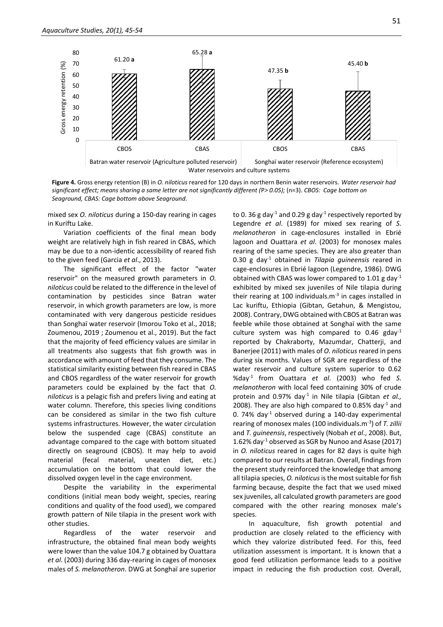

**Figure 4.** Gross energy retention (B) in *O. niloticus* reared for 120 days in northern Benin water reservoirs. *Water reservoir had significant effect; means sharing a same letter are not significantly different (*P*> 0.05);* (n=3). *CBOS: Cage bottom on Seaground, CBAS: Cage bottom above Seaground.*

mixed sex *O. niloticus* during a 150-day rearing in cages in Kuriftu Lake.

Variation coefficients of the final mean body weight are relatively high in fish reared in CBAS, which may be due to a non-identic accessibility of reared fish to the given feed (Garcia *et al*., 2013).

The significant effect of the factor "water reservoir" on the measured growth parameters in *O. niloticus* could be related to the difference in the level of contamination by pesticides since Batran water reservoir, in which growth parameters are low, is more contaminated with very dangerous pesticide residues than Songhaï water reservoir (Imorou Toko et al., 2018; Zoumenou, 2019 ; Zoumenou et al., 2019). But the fact that the majority of feed efficiency values are similar in all treatments also suggests that fish growth was in accordance with amount of feed that they consume. The statistical similarity existing between fish reared in CBAS and CBOS regardless of the water reservoir for growth parameters could be explained by the fact that *O. niloticus* is a pelagic fish and prefers living and eating at water column. Therefore, this species living conditions can be considered as similar in the two fish culture systems infrastructures. However, the water circulation below the suspended cage (CBAS) constitute an advantage compared to the cage with bottom situated directly on seaground (CBOS). It may help to avoid material (fecal material, uneaten diet, etc.) accumulation on the bottom that could lower the dissolved oxygen level in the cage environment.

Despite the variability in the experimental conditions (initial mean body weight, species, rearing conditions and quality of the food used), we compared growth pattern of Nile tilapia in the present work with other studies.

Regardless of the water reservoir and infrastructure, the obtained final mean body weights were lower than the value 104.7 g obtained by Ouattara *et al*. (2003) during 336 day-rearing in cages of monosex males of *S. melanotheron*. DWG at Songhaï are superior

to 0. 36 g day<sup>-1</sup> and 0.29 g day<sup>-1</sup> respectively reported by Legendre *et al*. (1989) for mixed sex rearing of *S. melanotheron* in cage-enclosures installed in Ebrié lagoon and Ouattara *et al*. (2003) for monosex males rearing of the same species. They are also greater than 0.30 g day-1 obtained in *Tilapia guineensis* reared in cage-enclosures in Ebrié lagoon (Legendre, 1986). DWG obtained with CBAS was lower compared to 1.01 g day<sup>-1</sup> exhibited by mixed sex juveniles of Nile tilapia during their rearing at 100 individuals. $m<sup>-3</sup>$  in cages installed in Lac kuriftu, Ethiopia (Gibtan, Getahun, & Mengistou, 2008). Contrary, DWG obtained with CBOS at Batran was feeble while those obtained at Songhaï with the same culture system was high compared to  $0.46$  gday<sup>-1</sup> reported by Chakraborty, Mazumdar, Chatterji, and Banerjee (2011) with males of *O. niloticus* reared in pens during six months. Values of SGR are regardless of the water reservoir and culture system superior to 0.62 %day-1 from Ouattara *et al*. (2003) who fed *S. melanotheron* with local feed containing 30% of crude protein and 0.97% day<sup>-1</sup> in Nile tilapia (Gibtan et al., 2008). They are also high compared to 0.85% day<sup>-1</sup> and 0. 74% day $^{-1}$  observed during a 140-day experimental rearing of monosex males (100 individuals.m-3 ) of *T. zillii* and *T. guineensis*, respectively (Nobah *et al*., 2008). But, 1.62% day-1 observed as SGR by Nunoo and Asase (2017) in *O. niloticus* reared in cages for 82 days is quite high compared to our results at Batran. Overall, findings from the present study reinforced the knowledge that among all tilapia species, *O. niloticus* is the most suitable for fish farming because, despite the fact that we used mixed sex juveniles, all calculated growth parameters are good compared with the other rearing monosex male's species.

In aquaculture, fish growth potential and production are closely related to the efficiency with which they valorize distributed feed. For this, feed utilization assessment is important. It is known that a good feed utilization performance leads to a positive impact in reducing the fish production cost. Overall,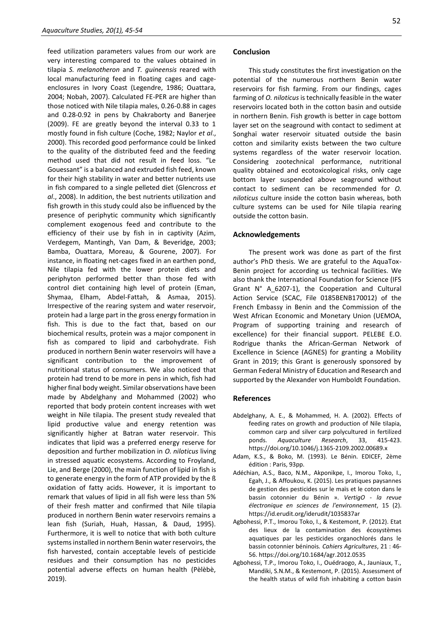feed utilization parameters values from our work are very interesting compared to the values obtained in tilapia *S. melanotheron* and *T. guineensis* reared with local manufacturing feed in floating cages and cageenclosures in Ivory Coast (Legendre, 1986; Ouattara, 2004; Nobah, 2007). Calculated FE-PER are higher than those noticed with Nile tilapia males, 0.26-0.88 in cages and 0.28-0.92 in pens by Chakraborty and Banerjee (2009). FE are greatly beyond the interval 0.33 to 1 mostly found in fish culture (Coche, 1982; Naylor *et al*., 2000). This recorded good performance could be linked to the quality of the distributed feed and the feeding method used that did not result in feed loss. "Le Gouessant" is a balanced and extruded fish feed, known for their high stability in water and better nutrients use in fish compared to a single pelleted diet (Glencross *et al*., 2008). In addition, the best nutrients utilization and fish growth in this study could also be influenced by the presence of periphytic community which significantly complement exogenous feed and contribute to the efficiency of their use by fish in in captivity (Azim, Verdegem, Mantingh, Van Dam, & Beveridge, 2003; Bamba, Ouattara, Moreau, & Gourene, 2007). For instance, in floating net-cages fixed in an earthen pond, Nile tilapia fed with the lower protein diets and periphyton performed better than those fed with control diet containing high level of protein (Eman, Shymaa, Elham, Abdel-Fattah, & Asmaa, 2015). Irrespective of the rearing system and water reservoir, protein had a large part in the gross energy formation in fish. This is due to the fact that, based on our biochemical results, protein was a major component in fish as compared to lipid and carbohydrate. Fish produced in northern Benin water reservoirs will have a significant contribution to the improvement of nutritional status of consumers. We also noticed that protein had trend to be more in pens in which, fish had higher final body weight. Similar observations have been made by Abdelghany and Mohammed (2002) who reported that body protein content increases with wet weight in Nile tilapia. The present study revealed that lipid productive value and energy retention was significantly higher at Batran water reservoir. This indicates that lipid was a preferred energy reserve for deposition and further mobilization in *O. niloticus* living in stressed aquatic ecosystems. According to Froyland, Lie, and Berge (2000), the main function of lipid in fish is to generate energy in the form of ATP provided by the ß oxidation of fatty acids. However, it is important to remark that values of lipid in all fish were less than 5% of their fresh matter and confirmed that Nile tilapia produced in northern Benin water reservoirs remains a lean fish (Suriah, Huah, Hassan, & Daud, 1995). Furthermore, it is well to notice that with both culture systems installed in northern Benin water reservoirs, the fish harvested, contain acceptable levels of pesticide residues and their consumption has no pesticides potential adverse effects on human health (Pèlèbè, 2019).

## **Conclusion**

This study constitutes the first investigation on the potential of the numerous northern Benin water reservoirs for fish farming. From our findings, cages farming of *O. niloticus* is technically feasible in the water reservoirs located both in the cotton basin and outside in northern Benin. Fish growth is better in cage bottom layer set on the seaground with contact to sediment at Songhaï water reservoir situated outside the basin cotton and similarity exists between the two culture systems regardless of the water reservoir location. Considering zootechnical performance, nutritional quality obtained and ecotoxicological risks, only cage bottom layer suspended above seaground without contact to sediment can be recommended for *O. niloticus* culture inside the cotton basin whereas, both culture systems can be used for Nile tilapia rearing outside the cotton basin.

## **Acknowledgements**

The present work was done as part of the first author's PhD thesis. We are grateful to the AquaTox-Benin project for according us technical facilities. We also thank the International Foundation for Science (IFS Grant N° A\_6207-1), the Cooperation and Cultural Action Service (SCAC, File 0185BENB170012) of the French Embassy in Benin and the Commission of the West African Economic and Monetary Union (UEMOA, Program of supporting training and research of excellence) for their financial support. PELEBE E.O. Rodrigue thanks the African-German Network of Excellence in Science (AGNES) for granting a Mobility Grant in 2019; this Grant is generously sponsored by German Federal Ministry of Education and Research and supported by the Alexander von Humboldt Foundation.

## **References**

- Abdelghany, A. E., & Mohammed, H. A. (2002). Effects of feeding rates on growth and production of Nile tilapia, common carp and silver carp polycultured in fertilized ponds. *Aquaculture Research*, 33, 415-423. https://doi.org/10.1046/j.1365-2109.2002.00689.x
- Adam, K.S., & Boko, M. (1993). Le Bénin. EDICEF, 2ème édition : Paris, 93pp.
- Adéchian, A.S., Baco, N.M., Akponikpe, I., Imorou Toko, I., Egah, J., & Affoukou, K. (2015). Les pratiques paysannes de gestion des pesticides sur le maïs et le coton dans le bassin cotonnier du Bénin ». *VertigO - la revue électronique en sciences de l'environnement*, 15 (2). https://id.erudit.org/iderudit/1035837ar
- Agbohessi, P.T., Imorou Toko, I., & Kestemont, P. (2012). Etat des lieux de la contamination des écosystèmes aquatiques par les pesticides organochlorés dans le bassin cotonnier béninois*. Cahiers Agricultures*, 21 : 46- 56. https://doi.org/10.1684/agr.2012.0535
- Agbohessi, T.P., Imorou Toko, I., Ouédraogo, A., Jauniaux, T., Mandiki, S.N.M., & Kestemont, P. (2015). Assessment of the health status of wild fish inhabiting a cotton basin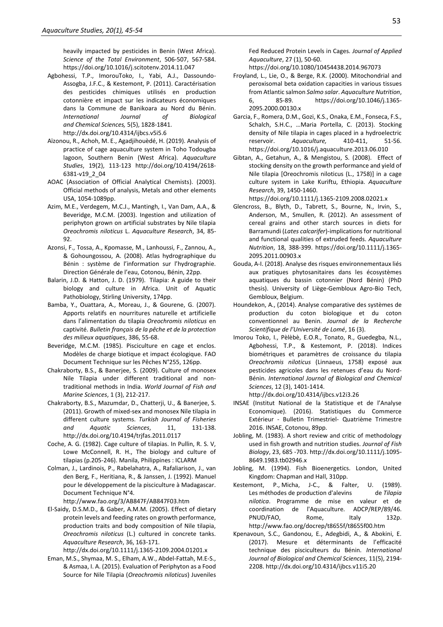heavily impacted by pesticides in Benin (West Africa). *Science of the Total Environment*, 506-507, 567-584. https://doi.org/10.1016/j.scitotenv.2014.11.047

- Agbohessi, T.P., ImorouToko, I., Yabi, A.J., Dassoundo-Assogba, J.F.C., & Kestemont, P. (2011). Caractérisation des pesticides chimiques utilisés en production cotonnière et impact sur les indicateurs économiques dans la Commune de Banikoara au Nord du Bénin. *International Journal of Biological and Chemical Sciences,* 5(5), 1828-1841. http://dx.doi.org/10.4314/ijbcs.v5i5.6
- Aïzonou, R., Achoh, M. E., Agadjihouèdé, H. (2019). Analysis of practice of cage aquaculture system in Toho Todougba lagoon, Southern Benin (West Africa). *Aquaculture Studies*, 19(2), 113-123 http://doi.org/10.4194/2618- 6381-v19\_2\_04
- AOAC (Association of Official Analytical Chemists). (2003). Official methods of analysis, Metals and other elements USA, 1054-1089pp.
- Azim, M.E., Verdegem, M.C.J., Mantingh, I., Van Dam, A.A., & Beveridge, M.C.M. (2003). Ingestion and utilization of periphyton grown on artificial substrates by Nile tilapia *Oreochromis niloticus* L. *Aquaculture Research*, 34, 85- 92.
- Azonsi, F., Tossa, A., Kpomasse, M., Lanhoussi, F., Zannou, A., & Gohoungossou, A. (2008). Atlas hydrographique du Bénin : système de l'information sur l'hydrographie. Direction Générale de l'eau, Cotonou, Bénin, 22pp.
- Balarin, J.D. & Hatton, J. D. (1979). Tilapia: A guide to their biology and culture in Africa. Unit of Aquatic Pathobiology, Stirling University, 174pp.
- Bamba, Y., Ouattara, A., Moreau, J., & Gourene, G. (2007). Apports relatifs en nourritures naturelle et artificielle dans l'alimentation du tilapia *Oreochromis niloticus* en captivité. *Bulletin français de la pêche et de la protection des milieux aquatiques*, 386, 55-68.
- Beveridge, M.C.M. (1985). Pisciculture en cage et enclos. Modèles de charge biotique et impact écologique. FAO Document Technique sur les Pêches N°255, 126pp.
- Chakraborty, B.S., & Banerjee, S. (2009). Culture of monosex Nile Tilapia under different traditional and nontraditional methods in India. *World Journal of Fish and Marine Sciences*, 1 (3), 212-217.
- Chakraborty, B.S., Mazumdar, D., Chatterji, U., & Banerjee, S. (2011). Growth of mixed-sex and monosex Nile tilapia in different culture systems. *Turkish Journal of Fisheries and Aquatic Sciences*, 11, 131-138. http://dx.doi.org/10.4194/trjfas.2011.0117
- Coche, A. G. (1982). Cage culture of tilapias. In Pullin, R. S. V, Lowe McConnell, R. H., The biology and culture of tilapias (p.205-246). Manila, Philippines : ICLARM
- Colman, J., Lardinois, P., Rabelahatra, A., Rafaliarison, J., van den Berg, F., Heritiana, R., & Janssen, J. (1992). Manuel pour le développement de la pisciculture à Madagascar. Document Technique N°4.
	- http://www.fao.org/3/AB847F/AB847F03.htm
- El-Saidy, D.S.M.D., & Gaber, A.M.M. (2005). Effect of dietary protein levels and feeding rates on growth performance, production traits and body composition of Nile tilapia, *Oreochromis niloticus* (L.) cultured in concrete tanks. *Aquaculture Research*, 36, 163-171.

http://dx.doi.org/10.1111/j.1365-2109.2004.01201.x

Eman, M.S., Shymaa, M. S., Elham, A.W., Abdel-Fattah, M.E-S., & Asmaa, I. A. (2015). Evaluation of Periphyton as a Food Source for Nile Tilapia (*Oreochromis niloticus*) Juveniles

Fed Reduced Protein Levels in Cages. *Journal of Applied Aquaculture*, 27 (1), 50-60.

- https://doi.org/10.1080/10454438.2014.967073
- Froyland, L., Lie, O., & Berge, R.K. (2000). Mitochondrial and peroxisomal beta oxidation capacities in various tissues from Atlantic salmon *Salmo salar*. *Aquaculture Nutrition*, 6, 85-89. https://doi.org/10.1046/j.1365- 2095.2000.00130.x
- Garcia, F., Romera, D.M., Gozi, K.S., Onaka, E.M., Fonseca, F.S., Schalch, S.H.C., …Maria Portella, C. (2013). Stocking density of Nile tilapia in cages placed in a hydroelectric reservoir. *Aquaculture,* 410-411, 51-56. https://doi.org/10.1016/j.aquaculture.2013.06.010
- Gibtan, A., Getahun, A., & Mengistou, S. (2008). Effect of stocking density on the growth performance and yield of Nile tilapia [Oreochromis niloticus (L., 1758)] in a cage culture system in Lake Kuriftu, Ethiopia. *Aquaculture Research*, 39, 1450-1460.

https://doi.org/10.1111/j.1365-2109.2008.02021.x

- Glencross, B., Blyth, D., Tabrett, S., Bourne, N., Irvin, S., Anderson, M., Smullen, R. (2012). An assessment of cereal grains and other starch sources in diets for Barramundi (*Lates calcarifer*)-implications for nutritional and functional qualities of extruded feeds. *Aquaculture Nutrition*, 18, 388-399. https://doi.org/10.1111/j.1365- 2095.2011.00903.x
- Gouda, A-I. (2018). Analyse des risques environnementaux liés aux pratiques phytosanitaires dans les écosystèmes aquatiques du bassin cotonnier (Nord Bénin) (PhD thesis). University of Liège-Gembloux Agro-Bio Tech, Gembloux, Belgium.
- Houndekon, A., (2014). Analyse comparative des systèmes de production du coton biologique et du coton conventionnel au Benin. *Journal de la Recherche Scientifique de l'Université de Lomé*, 16 (3).
- Imorou Toko, I., Pèlèbè, E.O.R., Tonato, R., Guedegba, N.L., Agbohessi, T.P., & Kestemont, P. (2018). Indices biométriques et paramètres de croissance du tilapia *Oreochromis niloticus* (Linnaeus, 1758) exposé aux pesticides agricoles dans les retenues d'eau du Nord-Bénin. *International Journal of Biological and Chemical Sciences*, 12 (3), 1401-1414. http://dx.doi.org/10.4314/ijbcs.v12i3.26
- INSAE (Institut National de la Statistique et de l'Analyse Economique). (2016). Statistiques du Commerce Extérieur - Bulletin Trimestriel- Quatrième Trimestre 2016. INSAE, Cotonou, 89pp.
- Jobling, M. (1983). A short review and critic of methodology used in fish growth and nutrition studies. *Journal of Fish Biology*, 23, 685 -703. http://dx.doi.org/10.1111/j.1095- 8649.1983.tb02946.x
- Jobling, M. (1994). Fish Bioenergetics. London, United Kingdom: Chapman and Hall, 310pp.
- Kestemont, P., Micha, J-C., & Falter, U. (1989). Les méthodes de production d'alevins de *Tilapia nilotica*. Programme de mise en valeur et de coordination de l'Aquaculture. ADCP/REP/89/46. PNUD/FAO, Rome, Italy 132p. http://www.fao.org/docrep/t8655f/t8655f00.htm
- Kpenavoun, S.C., Gandonou, E., Adegbidi, A., & Abokini, E. (2017). Mesure et déterminants de l'efficacité technique des pisciculteurs du Bénin. *International Journal of Biological and Chemical Sciences*, 11(5), 2194- 2208. http://dx.doi.org/10.4314/ijbcs.v11i5.20